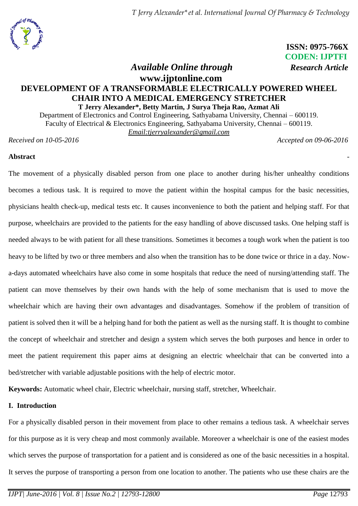

 **ISSN: 0975-766X CODEN: IJPTFI**  *Available Online through Research Article*

# **www.ijptonline.com DEVELOPMENT OF A TRANSFORMABLE ELECTRICALLY POWERED WHEEL CHAIR INTO A MEDICAL EMERGENCY STRETCHER T Jerry Alexander\*, Betty Martin, J Surya Theja Rao, Azmat Ali**

Department of Electronics and Control Engineering, Sathyabama University, Chennai – 600119. Faculty of Electrical & Electronics Engineering, Sathyabama University, Chennai – 600119. *Email[:tjerryalexander@gmail.com](mailto:tjerryalexander@gmail.com)*

*Received on 10-05-2016 Accepted on 09-06-2016*

### **Abstract** -

The movement of a physically disabled person from one place to another during his/her unhealthy conditions becomes a tedious task. It is required to move the patient within the hospital campus for the basic necessities, physicians health check-up, medical tests etc. It causes inconvenience to both the patient and helping staff. For that purpose, wheelchairs are provided to the patients for the easy handling of above discussed tasks. One helping staff is needed always to be with patient for all these transitions. Sometimes it becomes a tough work when the patient is too heavy to be lifted by two or three members and also when the transition has to be done twice or thrice in a day. Nowa-days automated wheelchairs have also come in some hospitals that reduce the need of nursing/attending staff. The patient can move themselves by their own hands with the help of some mechanism that is used to move the wheelchair which are having their own advantages and disadvantages. Somehow if the problem of transition of patient is solved then it will be a helping hand for both the patient as well as the nursing staff. It is thought to combine the concept of wheelchair and stretcher and design a system which serves the both purposes and hence in order to meet the patient requirement this paper aims at designing an electric wheelchair that can be converted into a bed/stretcher with variable adjustable positions with the help of electric motor.

**Keywords:** Automatic wheel chair, Electric wheelchair, nursing staff, stretcher, Wheelchair.

### **I. Introduction**

For a physically disabled person in their movement from place to other remains a tedious task. A wheelchair serves for this purpose as it is very cheap and most commonly available. Moreover a wheelchair is one of the easiest modes which serves the purpose of transportation for a patient and is considered as one of the basic necessities in a hospital. It serves the purpose of transporting a person from one location to another. The patients who use these chairs are the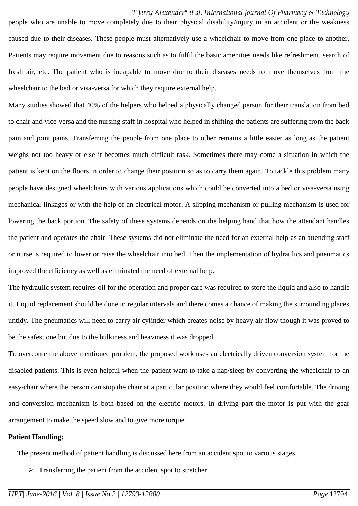#### *T Jerry Alexander\*et al. International Journal Of Pharmacy & Technology*

people who are unable to move completely due to their physical disability/injury in an accident or the weakness caused due to their diseases. These people must alternatively use a wheelchair to move from one place to another. Patients may require movement due to reasons such as to fulfil the basic amenities needs like refreshment, search of fresh air, etc. The patient who is incapable to move due to their diseases needs to move themselves from the wheelchair to the bed or visa-versa for which they require external help.

Many studies showed that 40% of the helpers who helped a physically changed person for their translation from bed to chair and vice-versa and the nursing staff in hospital who helped in shifting the patients are suffering from the back pain and joint pains. Transferring the people from one place to other remains a little easier as long as the patient weighs not too heavy or else it becomes much difficult task. Sometimes there may come a situation in which the patient is kept on the floors in order to change their position so as to carry them again. To tackle this problem many people have designed wheelchairs with various applications which could be converted into a bed or visa-versa using mechanical linkages or with the help of an electrical motor. A slipping mechanism or pulling mechanism is used for lowering the back portion. The safety of these systems depends on the helping hand that how the attendant handles the patient and operates the chair These systems did not eliminate the need for an external help as an attending staff or nurse is required to lower or raise the wheelchair into bed. Then the implementation of hydraulics and pneumatics improved the efficiency as well as eliminated the need of external help.

The hydraulic system requires oil for the operation and proper care was required to store the liquid and also to handle it. Liquid replacement should be done in regular intervals and there comes a chance of making the surrounding places untidy. The pneumatics will need to carry air cylinder which creates noise by heavy air flow though it was proved to be the safest one but due to the bulkiness and heaviness it was dropped.

To overcome the above mentioned problem, the proposed work uses an electrically driven conversion system for the disabled patients. This is even helpful when the patient want to take a nap/sleep by converting the wheelchair to an easy-chair where the person can stop the chair at a particular position where they would feel comfortable. The driving and conversion mechanism is both based on the electric motors. In driving part the motor is put with the gear arrangement to make the speed slow and to give more torque.

#### **Patient Handling:**

The present method of patient handling is discussed here from an accident spot to various stages.

 $\triangleright$  Transferring the patient from the accident spot to stretcher.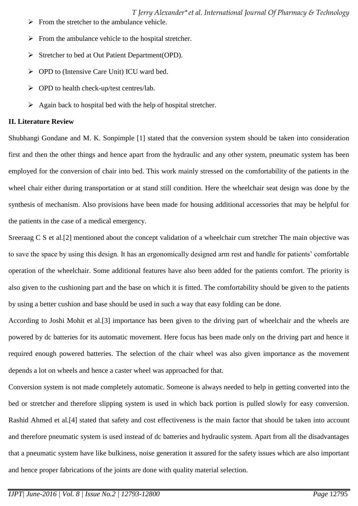*T Jerry Alexander\*et al. International Journal Of Pharmacy & Technology*

- $\triangleright$  From the stretcher to the ambulance vehicle.
- $\triangleright$  From the ambulance vehicle to the hospital stretcher.
- Stretcher to bed at Out Patient Department(OPD).
- ▶ OPD to (Intensive Care Unit) ICU ward bed.
- OPD to health check-up/test centres/lab.
- $\triangleright$  Again back to hospital bed with the help of hospital stretcher.

# **II. Literature Review**

Shubhangi Gondane and M. K. Sonpimple [1] stated that the conversion system should be taken into consideration first and then the other things and hence apart from the hydraulic and any other system, pneumatic system has been employed for the conversion of chair into bed. This work mainly stressed on the comfortability of the patients in the wheel chair either during transportation or at stand still condition. Here the wheelchair seat design was done by the synthesis of mechanism. Also provisions have been made for housing additional accessories that may be helpful for the patients in the case of a medical emergency.

Sreeraag C S et al.[2] mentioned about the concept validation of a wheelchair cum stretcher The main objective was to save the space by using this design. It has an ergonomically designed arm rest and handle for patients' comfortable operation of the wheelchair. Some additional features have also been added for the patients comfort. The priority is also given to the cushioning part and the base on which it is fitted. The comfortability should be given to the patients by using a better cushion and base should be used in such a way that easy folding can be done.

According to Joshi Mohit et al.[3] importance has been given to the driving part of wheelchair and the wheels are powered by dc batteries for its automatic movement. Here focus has been made only on the driving part and hence it required enough powered batteries. The selection of the chair wheel was also given importance as the movement depends a lot on wheels and hence a caster wheel was approached for that.

Conversion system is not made completely automatic. Someone is always needed to help in getting converted into the bed or stretcher and therefore slipping system is used in which back portion is pulled slowly for easy conversion. Rashid Ahmed et al.[4] stated that safety and cost effectiveness is the main factor that should be taken into account and therefore pneumatic system is used instead of dc batteries and hydraulic system. Apart from all the disadvantages that a pneumatic system have like bulkiness, noise generation it assured for the safety issues which are also important and hence proper fabrications of the joints are done with quality material selection.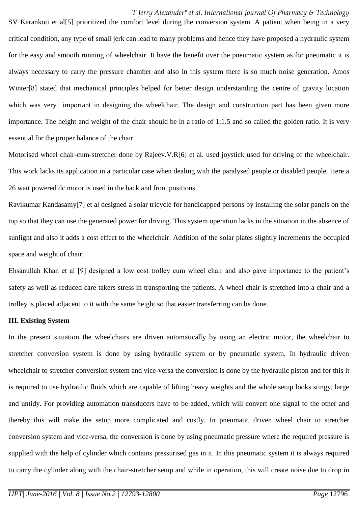#### *T Jerry Alexander\*et al. International Journal Of Pharmacy & Technology*

SV Karankoti et al<sup>[5]</sup> prioritized the comfort level during the conversion system. A patient when being in a very critical condition, any type of small jerk can lead to many problems and hence they have proposed a hydraulic system for the easy and smooth running of wheelchair. It have the benefit over the pneumatic system as for pneumatic it is always necessary to carry the pressure chamber and also in this system there is so much noise generation. Amos Winter[8] stated that mechanical principles helped for better design understanding the centre of gravity location which was very important in designing the wheelchair. The design and construction part has been given more importance. The height and weight of the chair should be in a ratio of 1:1.5 and so called the golden ratio. It is very essential for the proper balance of the chair.

Motorised wheel chair-cum-stretcher done by Rajeev.V.R[6] et al. used joystick used for driving of the wheelchair. This work lacks its application in a particular case when dealing with the paralysed people or disabled people. Here a 26 watt powered dc motor is used in the back and front positions.

Ravikumar Kandasamy[7] et al designed a solar tricycle for handicapped persons by installing the solar panels on the top so that they can use the generated power for driving. This system operation lacks in the situation in the absence of sunlight and also it adds a cost effect to the wheelchair. Addition of the solar plates slightly increments the occupied space and weight of chair.

Ehsanullah Khan et al [9] designed a low cost trolley cum wheel chair and also gave importance to the patient's safety as well as reduced care takers stress in transporting the patients. A wheel chair is stretched into a chair and a trolley is placed adjacent to it with the same height so that easier transferring can be done.

#### **III. Existing System**

In the present situation the wheelchairs are driven automatically by using an electric motor, the wheelchair to stretcher conversion system is done by using hydraulic system or by pneumatic system. In hydraulic driven wheelchair to stretcher conversion system and vice-versa the conversion is done by the hydraulic piston and for this it is required to use hydraulic fluids which are capable of lifting heavy weights and the whole setup looks stingy, large and untidy. For providing automation transducers have to be added, which will convert one signal to the other and thereby this will make the setup more complicated and costly. In pneumatic driven wheel chair to stretcher conversion system and vice-versa, the conversion is done by using pneumatic pressure where the required pressure is supplied with the help of cylinder which contains pressurised gas in it. In this pneumatic system it is always required to carry the cylinder along with the chair-stretcher setup and while in operation, this will create noise due to drop in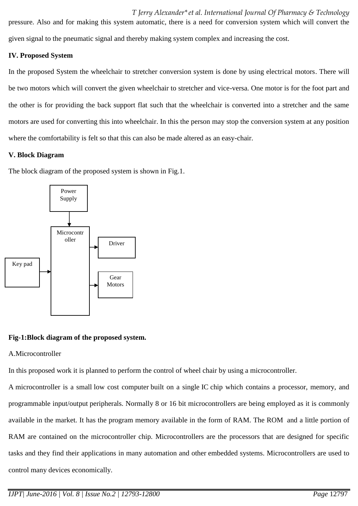*T Jerry Alexander\*et al. International Journal Of Pharmacy & Technology* pressure. Also and for making this system automatic, there is a need for conversion system which will convert the given signal to the pneumatic signal and thereby making system complex and increasing the cost.

### **IV. Proposed System**

In the proposed System the wheelchair to stretcher conversion system is done by using electrical motors. There will be two motors which will convert the given wheelchair to stretcher and vice-versa. One motor is for the foot part and the other is for providing the back support flat such that the wheelchair is converted into a stretcher and the same motors are used for converting this into wheelchair. In this the person may stop the conversion system at any position where the comfortability is felt so that this can also be made altered as an easy-chair.

### **V. Block Diagram**

The block diagram of the proposed system is shown in Fig.1.



# **Fig-1:Block diagram of the proposed system.**

# A.Microcontroller

In this proposed work it is planned to perform the control of wheel chair by using a microcontroller.

A microcontroller is a small low cost [computer](https://en.wikipedia.org/wiki/Computer) built on a single IC chip which contains a processor, memory, and programmable [input/output](https://en.wikipedia.org/wiki/Input/output) peripherals. Normally 8 or 16 bit microcontrollers are being employed as it is commonly available in the market. It has the program memory available in the form of [RAM. The ROM](https://en.wikipedia.org/wiki/Ferroelectric_RAM) and a little portion of RAM are contained on the microcontroller chip. Microcontrollers are the processors that are designed for specific tasks and they find their applications in many automation and other [embedded systems.](https://en.wikipedia.org/wiki/Embedded_system) Microcontrollers are used to control many devices economically.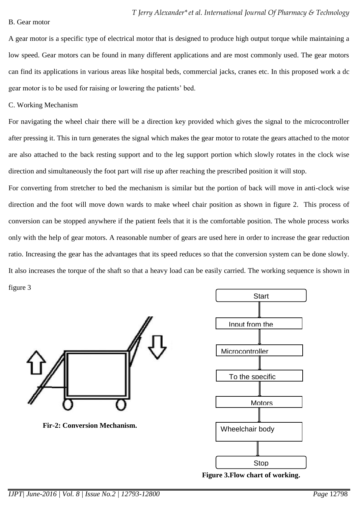A gear motor is a specific type of electrical motor that is designed to produce high output torque while maintaining a low speed. Gear motors can be found in many different applications and are most commonly used. The gear motors can find its applications in various areas like hospital beds, commercial jacks, cranes etc. In this proposed work a dc gear motor is to be used for raising or lowering the patients' bed.

C. Working Mechanism

For navigating the wheel chair there will be a direction key provided which gives the signal to the microcontroller after pressing it. This in turn generates the signal which makes the gear motor to rotate the gears attached to the motor are also attached to the back resting support and to the leg support portion which slowly rotates in the clock wise direction and simultaneously the foot part will rise up after reaching the prescribed position it will stop.

For converting from stretcher to bed the mechanism is similar but the portion of back will move in anti-clock wise direction and the foot will move down wards to make wheel chair position as shown in figure 2. This process of conversion can be stopped anywhere if the patient feels that it is the comfortable position. The whole process works only with the help of gear motors. A reasonable number of gears are used here in order to increase the gear reduction ratio. Increasing the gear has the advantages that its speed reduces so that the conversion system can be done slowly. It also increases the torque of the shaft so that a heavy load can be easily carried. The working sequence is shown in figure 3



 **Fir-2: Conversion Mechanism.**



 **Figure 3.Flow chart of working.**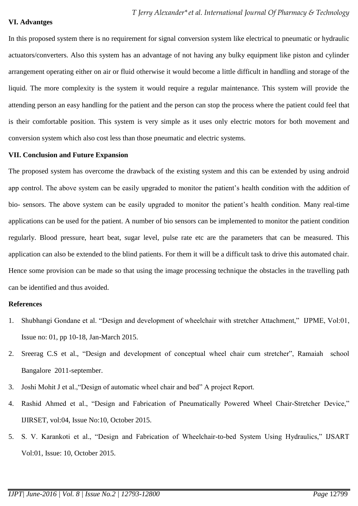#### **VI. Advantges**

In this proposed system there is no requirement for signal conversion system like electrical to pneumatic or hydraulic actuators/converters. Also this system has an advantage of not having any bulky equipment like piston and cylinder arrangement operating either on air or fluid otherwise it would become a little difficult in handling and storage of the liquid. The more complexity is the system it would require a regular maintenance. This system will provide the attending person an easy handling for the patient and the person can stop the process where the patient could feel that is their comfortable position. This system is very simple as it uses only electric motors for both movement and conversion system which also cost less than those pneumatic and electric systems.

### **VII. Conclusion and Future Expansion**

The proposed system has overcome the drawback of the existing system and this can be extended by using android app control. The above system can be easily upgraded to monitor the patient's health condition with the addition of bio- sensors. The above system can be easily upgraded to monitor the patient's health condition. Many real-time applications can be used for the patient. A number of bio sensors can be implemented to monitor the patient condition regularly. Blood pressure, heart beat, sugar level, pulse rate etc are the parameters that can be measured. This application can also be extended to the blind patients. For them it will be a difficult task to drive this automated chair. Hence some provision can be made so that using the image processing technique the obstacles in the travelling path can be identified and thus avoided.

### **References**

- 1. Shubhangi Gondane et al. "Design and development of wheelchair with stretcher Attachment," IJPME, Vol:01, Issue no: 01, pp 10-18, Jan-March 2015.
- 2. Sreerag C.S et al., "Design and development of conceptual wheel chair cum stretcher", Ramaiah school Bangalore 2011-september.
- 3. Joshi Mohit J et al.,"Design of automatic wheel chair and bed" A project Report.
- 4. Rashid Ahmed et al., "Design and Fabrication of Pneumatically Powered Wheel Chair-Stretcher Device," IJIRSET, vol:04, Issue No:10, October 2015.
- 5. S. V. Karankoti et al., "Design and Fabrication of Wheelchair-to-bed System Using Hydraulics," IJSART Vol:01, Issue: 10, October 2015.